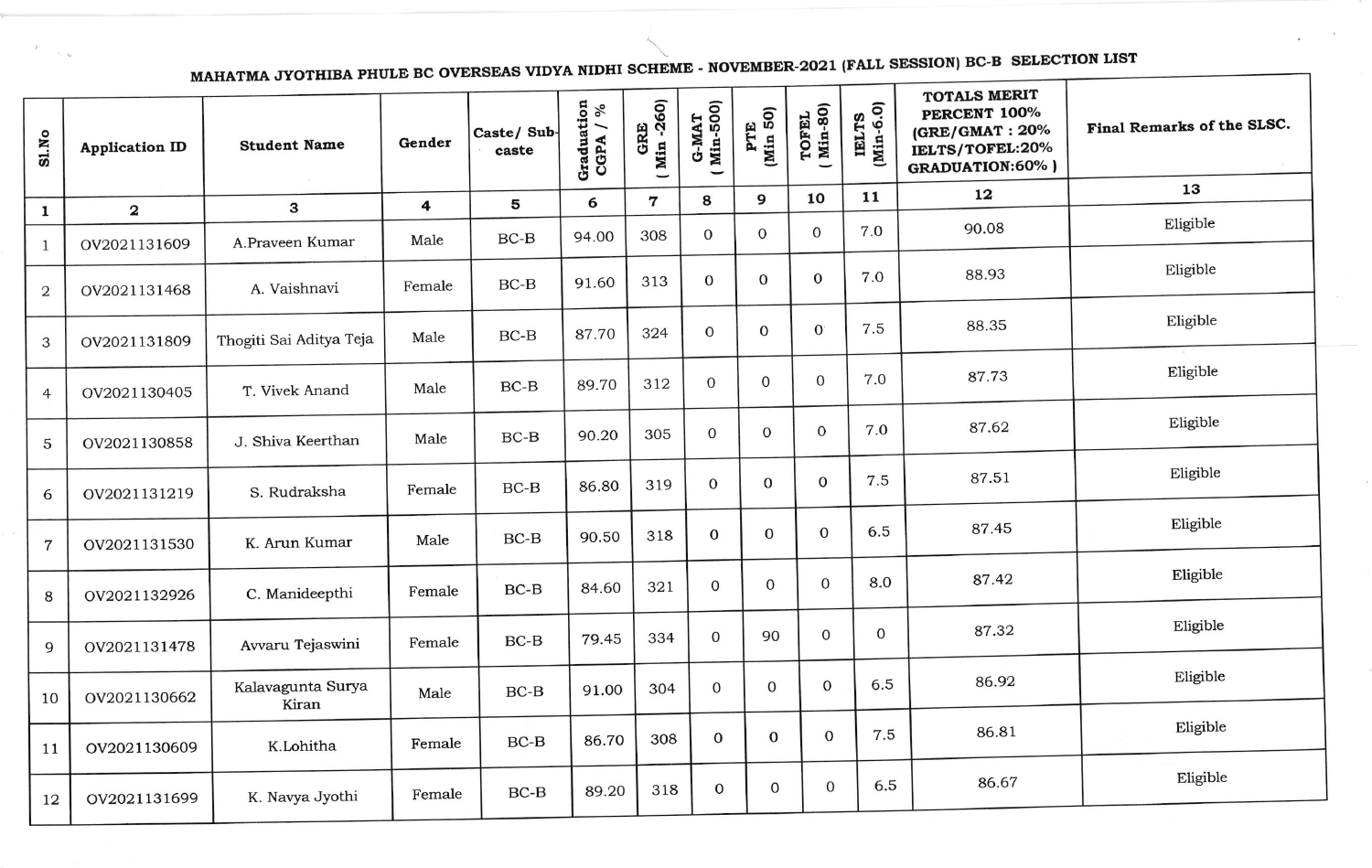MAHATMA JYOTHIBA PHULE BC OVERSEAS VIDYA NIDHI SCHEME - NOVEMBER-2021 (FALL SESSION) BC-B SELECTION LIST

|                | MMLI                    |                         |                         |                     |                          |                    |                         |                 |                   |                    |                                                                                                    |                            |
|----------------|-------------------------|-------------------------|-------------------------|---------------------|--------------------------|--------------------|-------------------------|-----------------|-------------------|--------------------|----------------------------------------------------------------------------------------------------|----------------------------|
| SLNo           | <b>Application ID</b>   | <b>Student Name</b>     | Gender                  | Caste/Sub-<br>caste | Graduation<br>CGPA $/$ % | GRE<br>( Min -260) | <b>Min-500</b><br>G-MAT | PTE<br>(Min 50) | TOFEL<br>(Min-80) | IELTS<br>(Min-6.0) | <b>TOTALS MERIT</b><br>PERCENT 100%<br>(GRE/GMAT: 20%<br>IELTS/TOFEL:20%<br><b>GRADUATION:60%)</b> | Final Remarks of the SLSC. |
| $\mathbf{1}$   | $\overline{\mathbf{2}}$ | 3                       | $\overline{\mathbf{4}}$ | 5                   | 6                        | $\mathbf 7$        | 8                       | 9               | 10                | 11                 | 12                                                                                                 | 13                         |
| $\mathbf{1}$   | OV2021131609            | A.Praveen Kumar         | Male                    | $BC-B$              | 94.00                    | 308                | $\overline{0}$          | $\overline{0}$  | $\mathbf{0}$      | 7.0                | 90.08                                                                                              | Eligible                   |
| $\mathbf{2}$   | OV2021131468            | A. Vaishnavi            | Female                  | $BC-B$              | 91.60                    | 313                | $\overline{0}$          | $\mathbf{0}$    | $\mathbf{0}$      | 7.0                | 88.93                                                                                              | Eligible                   |
| 3              | OV2021131809            | Thogiti Sai Aditya Teja | Male                    | $BC-B$              | 87.70                    | 324                | $\overline{0}$          | $\mathbf{0}$    | $\mathbf{0}$      | 7.5                | 88.35                                                                                              | Eligible                   |
| $\overline{4}$ | OV2021130405            | T. Vivek Anand          | Male                    | $BC-B$              | 89.70                    | 312                | $\mathbf{O}$            | $\mathbf{0}$    | $\mathbf 0$       | 7.0                | 87.73                                                                                              | Eligible                   |
| $\mathbf 5$    | OV2021130858            | J. Shiva Keerthan       | Male                    | $BC-B$              | 90.20                    | 305                | $\mathbf{0}$            | $\mathbf 0$     | $\mathbf{O}$      | 7.0                | 87.62                                                                                              | Eligible                   |
| 6              | OV2021131219            | S. Rudraksha            | Female                  | $BC-B$              | 86.80                    | 319                | $\mathbf 0$             | 0               | 0                 | 7.5                | 87.51                                                                                              | Eligible                   |
| $\overline{7}$ | OV2021131530            | K. Arun Kumar           | Male                    | $BC-B$              | 90.50                    | 318                | $\mathbf 0$             | $\Omega$        | 0                 | 6.5                | 87.45                                                                                              | Eligible                   |
| 8              | OV2021132926            | C. Manideepthi          | Female                  | $BC-B$              | 84.60                    | 321                | $\overline{0}$          | $\mathbf{O}$    | $\mathbf 0$       | 8.0                | 87.42                                                                                              | Eligible                   |
| 9              | OV2021131478            | Avvaru Tejaswini        | Female                  | $BC-B$              | 79.45                    | 334                | $\mathbf{0}$            | 90              | $\mathbf 0$       | 0                  | 87.32                                                                                              | Eligible                   |
| 10             | OV2021130662            | Kalavagunta Surya       | Male                    | $BC-B$              | 91.00                    | 304                | $\mathbf{0}$            | 0               | $\mathbf{O}$      | 6.5                | 86.92                                                                                              | Eligible                   |
| 11             | OV2021130609            | Kiran<br>K.Lohitha      | Female                  | $BC-B$              | 86.70                    | 308                | $\mathbf 0$             | $\mathbf 0$     | $\mathbf 0$       | 7.5                | 86.81                                                                                              | Eligible                   |
| 12             | OV2021131699            | K. Navya Jyothi         | Female                  | $BC-B$              | 89.20                    | 318                | $\mathbf 0$             | $\mathbf 0$     | $\mathbf 0$       | 6.5                | 86.67                                                                                              | Eligible                   |
|                |                         |                         |                         |                     |                          |                    |                         |                 |                   |                    |                                                                                                    |                            |